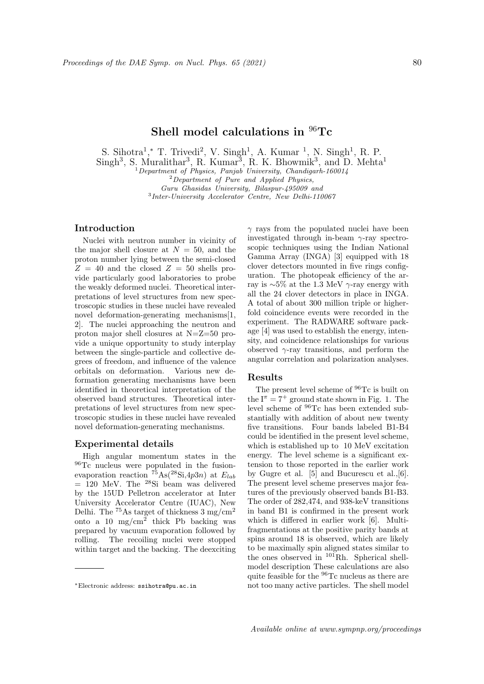# **Shell model calculations in** <sup>96</sup>**Tc**

S. Sihotra<sup>1</sup>,\* T. Trivedi<sup>2</sup>, V. Singh<sup>1</sup>, A. Kumar<sup>1</sup>, N. Singh<sup>1</sup>, R. P.

 $\text{Singh}^3$ , S. Muralithar<sup>3</sup>, R. Kumar<sup>3</sup>, R. K. Bhowmik<sup>3</sup>, and D. Mehta<sup>1</sup>

<sup>1</sup>*Department of Physics, Panjab University, Chandigarh-160014*

*Guru Ghasidas University, Bilaspur-495009 and* 3 *Inter-University Accelerator Centre, New Delhi-110067*

## **Introduction**

Nuclei with neutron number in vicinity of the major shell closure at  $N = 50$ , and the proton number lying between the semi-closed  $Z = 40$  and the closed  $Z = 50$  shells provide particularly good laboratories to probe the weakly deformed nuclei. Theoretical interpretations of level structures from new spectroscopic studies in these nuclei have revealed novel deformation-generating mechanisms[1, 2]. The nuclei approaching the neutron and proton major shell closures at N=Z=50 provide a unique opportunity to study interplay between the single-particle and collective degrees of freedom, and influence of the valence orbitals on deformation. Various new deformation generating mechanisms have been identified in theoretical interpretation of the observed band structures. Theoretical interpretations of level structures from new spectroscopic studies in these nuclei have revealed novel deformation-generating mechanisms.

### **Experimental details**

High angular momentum states in the <sup>96</sup>Tc nucleus were populated in the fusionevaporation reaction  $^{75}$ As( $^{28}$ Si, $4p3n$ ) at  $E_{lab}$  $= 120$  MeV. The <sup>28</sup>Si beam was delivered by the 15UD Pelletron accelerator at Inter University Accelerator Centre (IUAC), New Delhi. The  $^{75}$ As target of thickness 3 mg/cm<sup>2</sup> onto a 10  $mg/cm^2$  thick Pb backing was prepared by vacuum evaporation followed by rolling. The recoiling nuclei were stopped within target and the backing. The deexciting *γ* rays from the populated nuclei have been investigated through in-beam *γ*-ray spectroscopic techniques using the Indian National Gamma Array (INGA) [3] equipped with 18 clover detectors mounted in five rings configuration. The photopeak efficiency of the array is *∼*5% at the 1.3 MeV *γ*-ray energy with all the 24 clover detectors in place in INGA. A total of about 300 million triple or higherfold coincidence events were recorded in the experiment. The RADWARE software package [4] was used to establish the energy, intensity, and coincidence relationships for various observed *γ*-ray transitions, and perform the angular correlation and polarization analyses.

#### **Results**

The present level scheme of <sup>96</sup>Tc is built on the  $I^{\pi} = 7^{+}$  ground state shown in Fig. 1. The level scheme of <sup>96</sup>Tc has been extended substantially with addition of about new twenty five transitions. Four bands labeled B1-B4 could be identified in the present level scheme, which is established up to 10 MeV excitation energy. The level scheme is a significant extension to those reported in the earlier work by Gugre et al. [5] and Bucurescu et al.,[6]. The present level scheme preserves major features of the previously observed bands B1-B3. The order of 282,474, and 938-keV transitions in band B1 is confirmed in the present work which is differed in earlier work [6]. Multifragmentations at the positive parity bands at spins around 18 is observed, which are likely to be maximally spin aligned states similar to the ones observed in <sup>101</sup>Rh. Spherical shellmodel description These calculations are also quite feasible for the <sup>96</sup>Tc nucleus as there are not too many active particles. The shell model

<sup>2</sup>*Department of Pure and Applied Physics,*

*<sup>∗</sup>*Electronic address: ssihotra@pu.ac.in